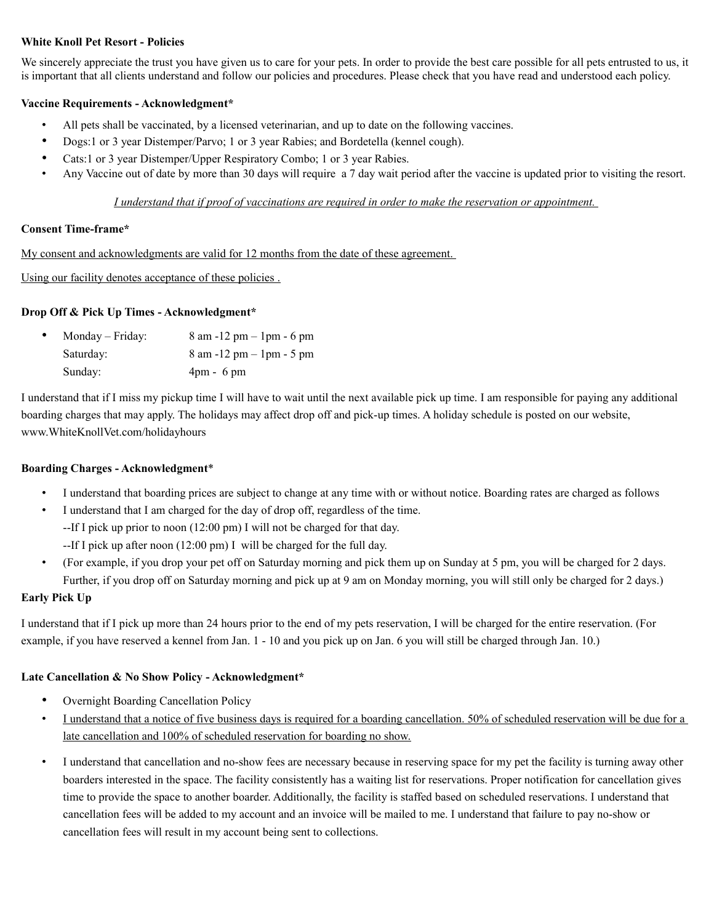## **White Knoll Pet Resort - Policies**

We sincerely appreciate the trust you have given us to care for your pets. In order to provide the best care possible for all pets entrusted to us, it is important that all clients understand and follow our policies and procedures. Please check that you have read and understood each policy.

## **Vaccine Requirements - Acknowledgment\***

- All pets shall be vaccinated, by a licensed veterinarian, and up to date on the following vaccines.
- Dogs:1 or 3 year Distemper/Parvo; 1 or 3 year Rabies; and Bordetella (kennel cough).
- Cats:1 or 3 year Distemper/Upper Respiratory Combo; 1 or 3 year Rabies.
- Any Vaccine out of date by more than 30 days will require a 7 day wait period after the vaccine is updated prior to visiting the resort.

## *I understand that if proof of vaccinations are required in order to make the reservation or appointment.*

## **Consent Time-frame\***

My consent and acknowledgments are valid for 12 months from the date of these agreement.

Using our facility denotes acceptance of these policies .

# **Drop Off & Pick Up Times - Acknowledgment\***

| ٠ | Monday – Friday: | $8 \text{ am } -12 \text{ pm} - 1 \text{ pm} - 6 \text{ pm}$ |
|---|------------------|--------------------------------------------------------------|
|   | Saturday:        | $8 \text{ am } -12 \text{ pm} - 1 \text{ pm} - 5 \text{ pm}$ |
|   | Sunday:          | $4pm - 6pm$                                                  |

I understand that if I miss my pickup time I will have to wait until the next available pick up time. I am responsible for paying any additional boarding charges that may apply. The holidays may affect drop off and pick-up times. A holiday schedule is posted on our website, www.WhiteKnollVet.com/holidayhours

## **Boarding Charges - Acknowledgment**\*

- I understand that boarding prices are subject to change at any time with or without notice. Boarding rates are charged as follows
- I understand that I am charged for the day of drop off, regardless of the time. --If I pick up prior to noon (12:00 pm) I will not be charged for that day.
	- --If I pick up after noon (12:00 pm) I will be charged for the full day.
- (For example, if you drop your pet off on Saturday morning and pick them up on Sunday at 5 pm, you will be charged for 2 days. Further, if you drop off on Saturday morning and pick up at 9 am on Monday morning, you will still only be charged for 2 days.)

## **Early Pick Up**

I understand that if I pick up more than 24 hours prior to the end of my pets reservation, I will be charged for the entire reservation. (For example, if you have reserved a kennel from Jan. 1 - 10 and you pick up on Jan. 6 you will still be charged through Jan. 10.)

## **Late Cancellation & No Show Policy - Acknowledgment\***

- Overnight Boarding Cancellation Policy
- I understand that a notice of five business days is required for a boarding cancellation. 50% of scheduled reservation will be due for a late cancellation and 100% of scheduled reservation for boarding no show.
- I understand that cancellation and no-show fees are necessary because in reserving space for my pet the facility is turning away other boarders interested in the space. The facility consistently has a waiting list for reservations. Proper notification for cancellation gives time to provide the space to another boarder. Additionally, the facility is staffed based on scheduled reservations. I understand that cancellation fees will be added to my account and an invoice will be mailed to me. I understand that failure to pay no-show or cancellation fees will result in my account being sent to collections.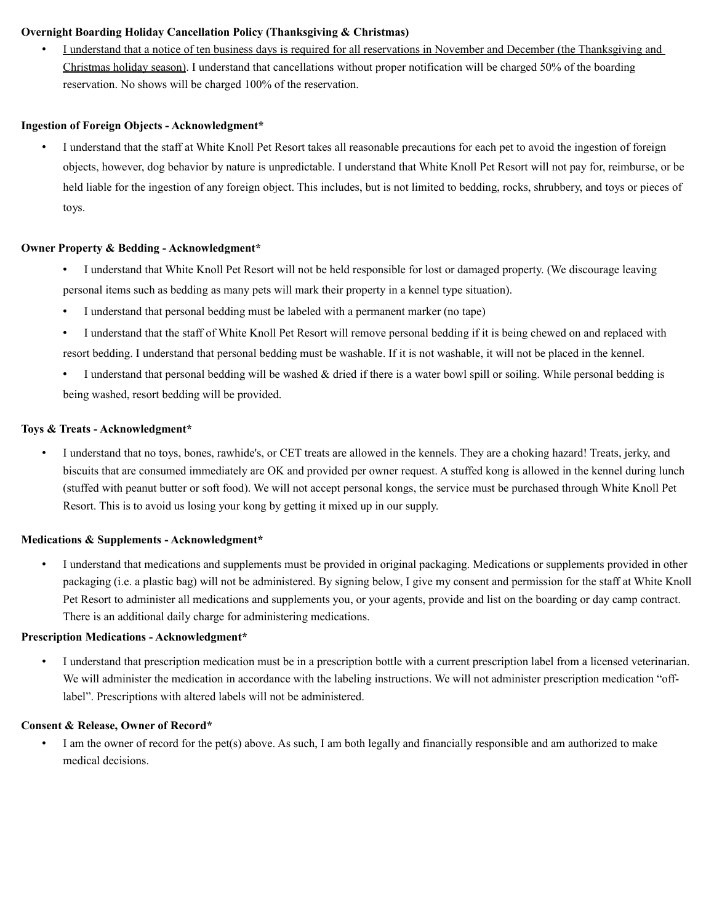# **Overnight Boarding Holiday Cancellation Policy (Thanksgiving & Christmas)**

• I understand that a notice of ten business days is required for all reservations in November and December (the Thanksgiving and Christmas holiday season). I understand that cancellations without proper notification will be charged 50% of the boarding reservation. No shows will be charged 100% of the reservation.

## **Ingestion of Foreign Objects - Acknowledgment\***

• I understand that the staff at White Knoll Pet Resort takes all reasonable precautions for each pet to avoid the ingestion of foreign objects, however, dog behavior by nature is unpredictable. I understand that White Knoll Pet Resort will not pay for, reimburse, or be held liable for the ingestion of any foreign object. This includes, but is not limited to bedding, rocks, shrubbery, and toys or pieces of toys.

### **Owner Property & Bedding - Acknowledgment\***

- I understand that White Knoll Pet Resort will not be held responsible for lost or damaged property. (We discourage leaving personal items such as bedding as many pets will mark their property in a kennel type situation).
- I understand that personal bedding must be labeled with a permanent marker (no tape)
- I understand that the staff of White Knoll Pet Resort will remove personal bedding if it is being chewed on and replaced with resort bedding. I understand that personal bedding must be washable. If it is not washable, it will not be placed in the kennel.
- I understand that personal bedding will be washed  $\&$  dried if there is a water bowl spill or soiling. While personal bedding is being washed, resort bedding will be provided.

## **Toys & Treats - Acknowledgment\***

• I understand that no toys, bones, rawhide's, or CET treats are allowed in the kennels. They are a choking hazard! Treats, jerky, and biscuits that are consumed immediately are OK and provided per owner request. A stuffed kong is allowed in the kennel during lunch (stuffed with peanut butter or soft food). We will not accept personal kongs, the service must be purchased through White Knoll Pet Resort. This is to avoid us losing your kong by getting it mixed up in our supply.

## **Medications & Supplements - Acknowledgment\***

• I understand that medications and supplements must be provided in original packaging. Medications or supplements provided in other packaging (i.e. a plastic bag) will not be administered. By signing below, I give my consent and permission for the staff at White Knoll Pet Resort to administer all medications and supplements you, or your agents, provide and list on the boarding or day camp contract. There is an additional daily charge for administering medications.

### **Prescription Medications - Acknowledgment\***

• I understand that prescription medication must be in a prescription bottle with a current prescription label from a licensed veterinarian. We will administer the medication in accordance with the labeling instructions. We will not administer prescription medication "offlabel". Prescriptions with altered labels will not be administered.

## **Consent & Release, Owner of Record\***

• I am the owner of record for the pet(s) above. As such, I am both legally and financially responsible and am authorized to make medical decisions.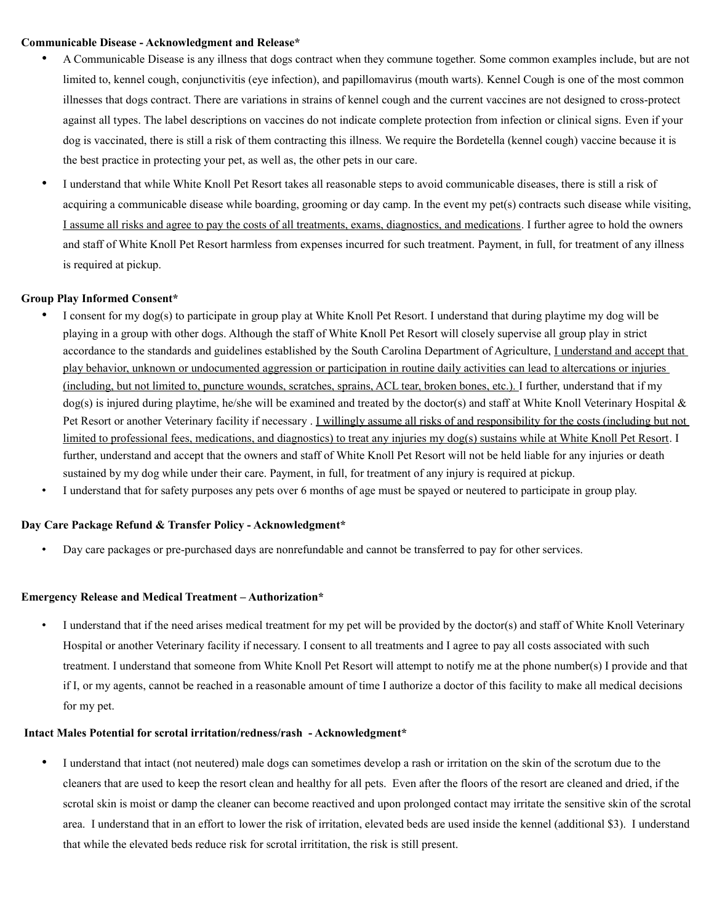### **Communicable Disease - Acknowledgment and Release\***

- A Communicable Disease is any illness that dogs contract when they commune together. Some common examples include, but are not limited to, kennel cough, conjunctivitis (eye infection), and papillomavirus (mouth warts). Kennel Cough is one of the most common illnesses that dogs contract. There are variations in strains of kennel cough and the current vaccines are not designed to cross-protect against all types. The label descriptions on vaccines do not indicate complete protection from infection or clinical signs. Even if your dog is vaccinated, there is still a risk of them contracting this illness. We require the Bordetella (kennel cough) vaccine because it is the best practice in protecting your pet, as well as, the other pets in our care.
- I understand that while White Knoll Pet Resort takes all reasonable steps to avoid communicable diseases, there is still a risk of acquiring a communicable disease while boarding, grooming or day camp. In the event my pet(s) contracts such disease while visiting, I assume all risks and agree to pay the costs of all treatments, exams, diagnostics, and medications. I further agree to hold the owners and staff of White Knoll Pet Resort harmless from expenses incurred for such treatment. Payment, in full, for treatment of any illness is required at pickup.

## **Group Play Informed Consent\***

- I consent for my dog(s) to participate in group play at White Knoll Pet Resort. I understand that during playtime my dog will be playing in a group with other dogs. Although the staff of White Knoll Pet Resort will closely supervise all group play in strict accordance to the standards and guidelines established by the South Carolina Department of Agriculture, I understand and accept that play behavior, unknown or undocumented aggression or participation in routine daily activities can lead to altercations or injuries (including, but not limited to, puncture wounds, scratches, sprains, ACL tear, broken bones, etc.). I further, understand that if my  $\log(s)$  is injured during playtime, he/she will be examined and treated by the doctor(s) and staff at White Knoll Veterinary Hospital & Pet Resort or another Veterinary facility if necessary . I willingly assume all risks of and responsibility for the costs (including but not limited to professional fees, medications, and diagnostics) to treat any injuries my dog(s) sustains while at White Knoll Pet Resort. I further, understand and accept that the owners and staff of White Knoll Pet Resort will not be held liable for any injuries or death sustained by my dog while under their care. Payment, in full, for treatment of any injury is required at pickup.
- I understand that for safety purposes any pets over 6 months of age must be spayed or neutered to participate in group play.

### **Day Care Package Refund & Transfer Policy - Acknowledgment\***

• Day care packages or pre-purchased days are nonrefundable and cannot be transferred to pay for other services.

### **Emergency Release and Medical Treatment – Authorization\***

• I understand that if the need arises medical treatment for my pet will be provided by the doctor(s) and staff of White Knoll Veterinary Hospital or another Veterinary facility if necessary. I consent to all treatments and I agree to pay all costs associated with such treatment. I understand that someone from White Knoll Pet Resort will attempt to notify me at the phone number(s) I provide and that if I, or my agents, cannot be reached in a reasonable amount of time I authorize a doctor of this facility to make all medical decisions for my pet.

### **Intact Males Potential for scrotal irritation/redness/rash - Acknowledgment\***

• I understand that intact (not neutered) male dogs can sometimes develop a rash or irritation on the skin of the scrotum due to the cleaners that are used to keep the resort clean and healthy for all pets. Even after the floors of the resort are cleaned and dried, if the scrotal skin is moist or damp the cleaner can become reactived and upon prolonged contact may irritate the sensitive skin of the scrotal area. I understand that in an effort to lower the risk of irritation, elevated beds are used inside the kennel (additional \$3). I understand that while the elevated beds reduce risk for scrotal irrititation, the risk is still present.